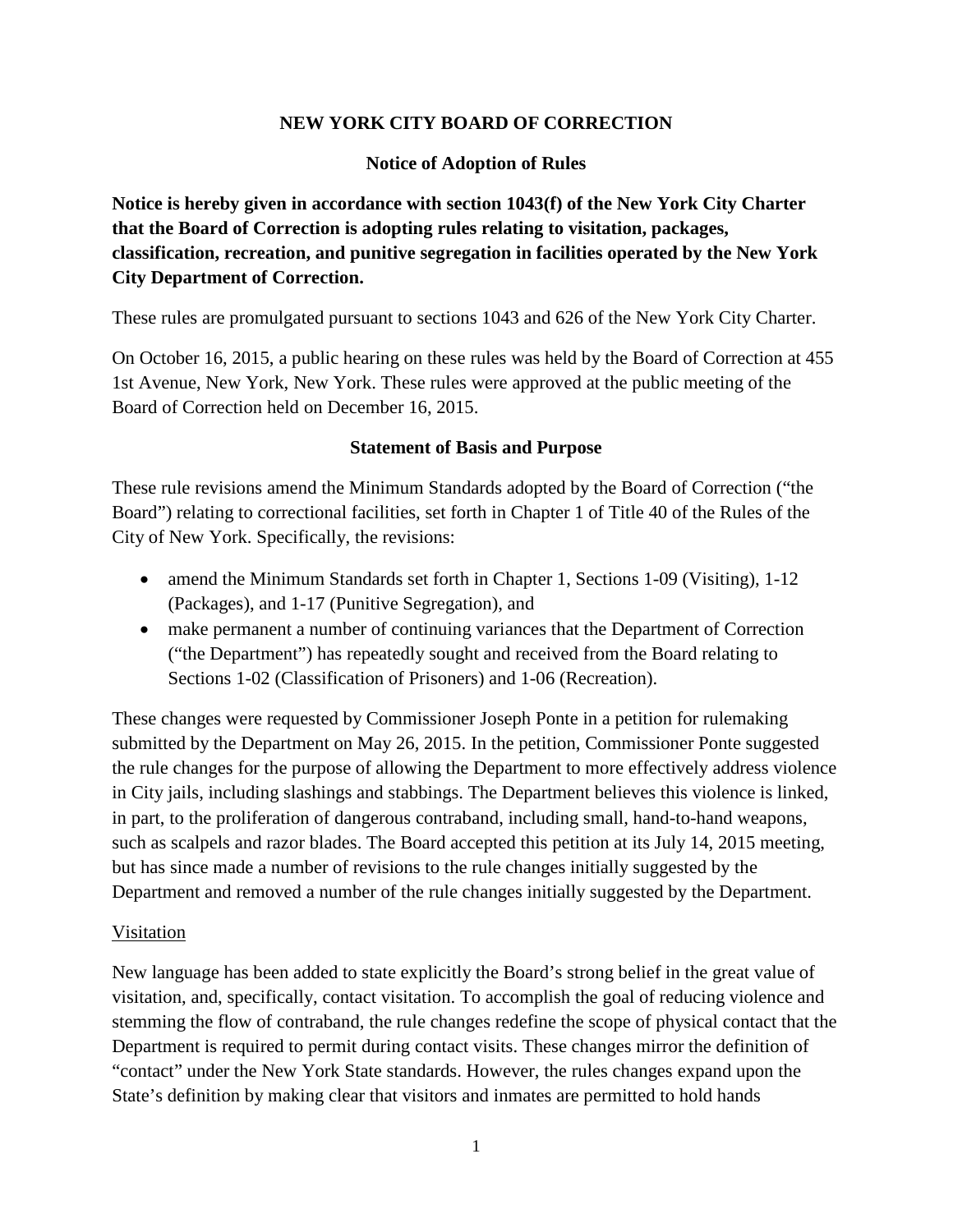## **NEW YORK CITY BOARD OF CORRECTION**

## **Notice of Adoption of Rules**

**Notice is hereby given in accordance with section 1043(f) of the New York City Charter that the Board of Correction is adopting rules relating to visitation, packages, classification, recreation, and punitive segregation in facilities operated by the New York City Department of Correction.**

These rules are promulgated pursuant to sections 1043 and 626 of the New York City Charter.

On October 16, 2015, a public hearing on these rules was held by the Board of Correction at 455 1st Avenue, New York, New York. These rules were approved at the public meeting of the Board of Correction held on December 16, 2015.

#### **Statement of Basis and Purpose**

These rule revisions amend the Minimum Standards adopted by the Board of Correction ("the Board") relating to correctional facilities, set forth in Chapter 1 of Title 40 of the Rules of the City of New York. Specifically, the revisions:

- amend the Minimum Standards set forth in Chapter 1, Sections 1-09 (Visiting), 1-12 (Packages), and 1-17 (Punitive Segregation), and
- make permanent a number of continuing variances that the Department of Correction ("the Department") has repeatedly sought and received from the Board relating to Sections 1-02 (Classification of Prisoners) and 1-06 (Recreation).

These changes were requested by Commissioner Joseph Ponte in a petition for rulemaking submitted by the Department on May 26, 2015. In the petition, Commissioner Ponte suggested the rule changes for the purpose of allowing the Department to more effectively address violence in City jails, including slashings and stabbings. The Department believes this violence is linked, in part, to the proliferation of dangerous contraband, including small, hand-to-hand weapons, such as scalpels and razor blades. The Board accepted this petition at its July 14, 2015 meeting, but has since made a number of revisions to the rule changes initially suggested by the Department and removed a number of the rule changes initially suggested by the Department.

#### Visitation

New language has been added to state explicitly the Board's strong belief in the great value of visitation, and, specifically, contact visitation. To accomplish the goal of reducing violence and stemming the flow of contraband, the rule changes redefine the scope of physical contact that the Department is required to permit during contact visits. These changes mirror the definition of "contact" under the New York State standards. However, the rules changes expand upon the State's definition by making clear that visitors and inmates are permitted to hold hands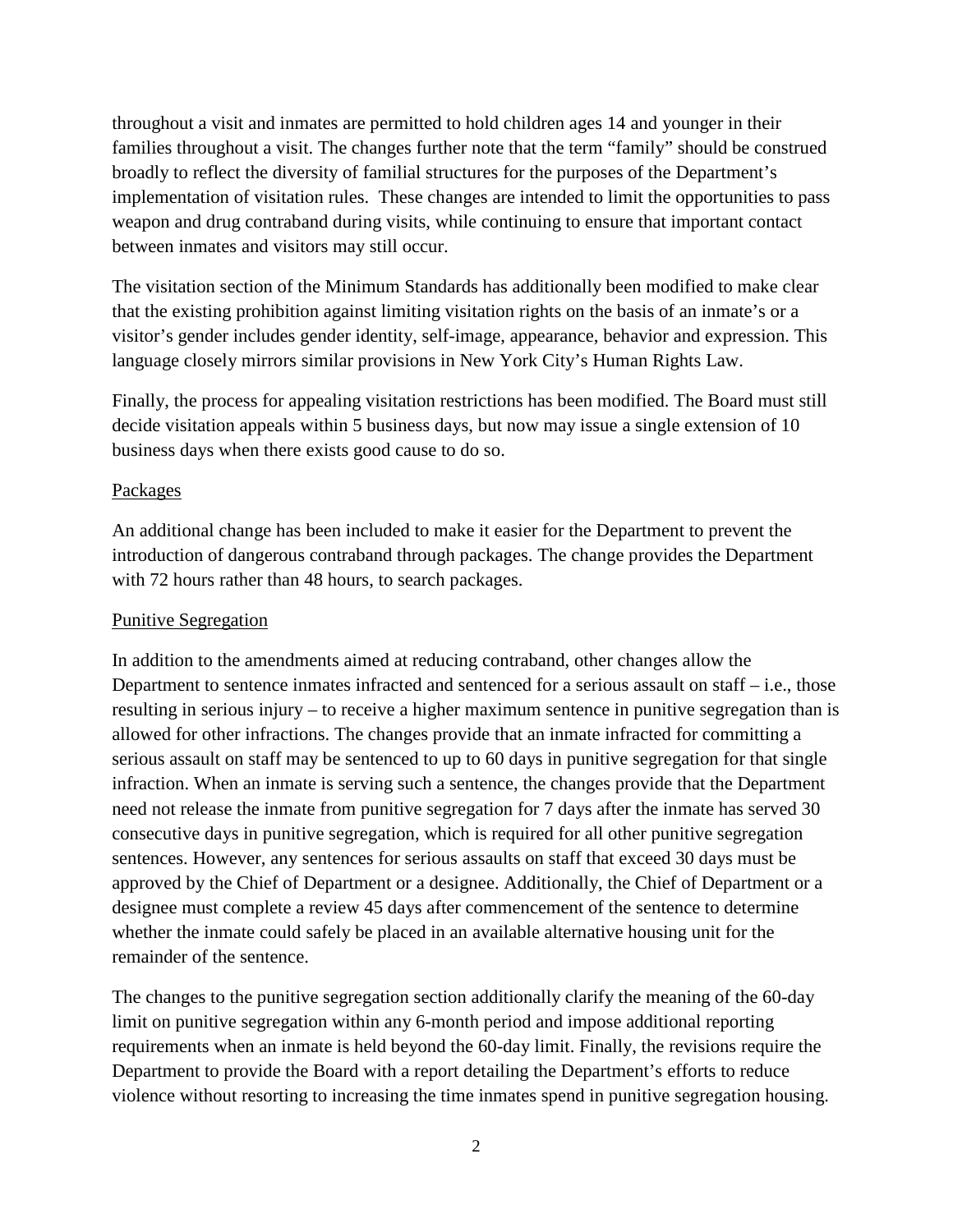throughout a visit and inmates are permitted to hold children ages 14 and younger in their families throughout a visit. The changes further note that the term "family" should be construed broadly to reflect the diversity of familial structures for the purposes of the Department's implementation of visitation rules. These changes are intended to limit the opportunities to pass weapon and drug contraband during visits, while continuing to ensure that important contact between inmates and visitors may still occur.

The visitation section of the Minimum Standards has additionally been modified to make clear that the existing prohibition against limiting visitation rights on the basis of an inmate's or a visitor's gender includes gender identity, self-image, appearance, behavior and expression. This language closely mirrors similar provisions in New York City's Human Rights Law.

Finally, the process for appealing visitation restrictions has been modified. The Board must still decide visitation appeals within 5 business days, but now may issue a single extension of 10 business days when there exists good cause to do so.

## Packages

An additional change has been included to make it easier for the Department to prevent the introduction of dangerous contraband through packages. The change provides the Department with 72 hours rather than 48 hours, to search packages.

#### Punitive Segregation

In addition to the amendments aimed at reducing contraband, other changes allow the Department to sentence inmates infracted and sentenced for a serious assault on staff – i.e., those resulting in serious injury – to receive a higher maximum sentence in punitive segregation than is allowed for other infractions. The changes provide that an inmate infracted for committing a serious assault on staff may be sentenced to up to 60 days in punitive segregation for that single infraction. When an inmate is serving such a sentence, the changes provide that the Department need not release the inmate from punitive segregation for 7 days after the inmate has served 30 consecutive days in punitive segregation, which is required for all other punitive segregation sentences. However, any sentences for serious assaults on staff that exceed 30 days must be approved by the Chief of Department or a designee. Additionally, the Chief of Department or a designee must complete a review 45 days after commencement of the sentence to determine whether the inmate could safely be placed in an available alternative housing unit for the remainder of the sentence.

The changes to the punitive segregation section additionally clarify the meaning of the 60-day limit on punitive segregation within any 6-month period and impose additional reporting requirements when an inmate is held beyond the 60-day limit. Finally, the revisions require the Department to provide the Board with a report detailing the Department's efforts to reduce violence without resorting to increasing the time inmates spend in punitive segregation housing.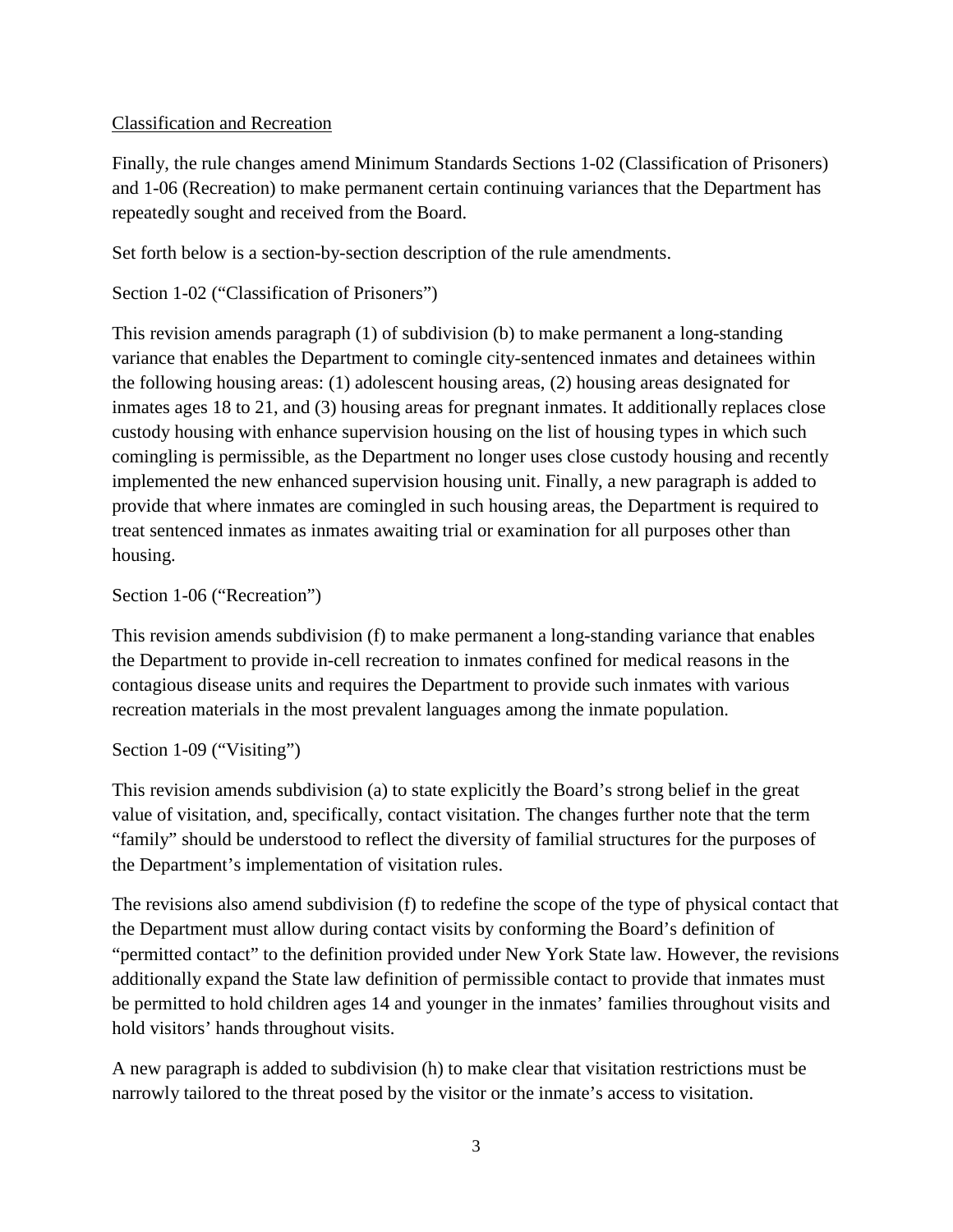## Classification and Recreation

Finally, the rule changes amend Minimum Standards Sections 1-02 (Classification of Prisoners) and 1-06 (Recreation) to make permanent certain continuing variances that the Department has repeatedly sought and received from the Board.

Set forth below is a section-by-section description of the rule amendments.

Section 1-02 ("Classification of Prisoners")

This revision amends paragraph (1) of subdivision (b) to make permanent a long-standing variance that enables the Department to comingle city-sentenced inmates and detainees within the following housing areas: (1) adolescent housing areas, (2) housing areas designated for inmates ages 18 to 21, and (3) housing areas for pregnant inmates. It additionally replaces close custody housing with enhance supervision housing on the list of housing types in which such comingling is permissible, as the Department no longer uses close custody housing and recently implemented the new enhanced supervision housing unit. Finally, a new paragraph is added to provide that where inmates are comingled in such housing areas, the Department is required to treat sentenced inmates as inmates awaiting trial or examination for all purposes other than housing.

## Section 1-06 ("Recreation")

This revision amends subdivision (f) to make permanent a long-standing variance that enables the Department to provide in-cell recreation to inmates confined for medical reasons in the contagious disease units and requires the Department to provide such inmates with various recreation materials in the most prevalent languages among the inmate population.

#### Section 1-09 ("Visiting")

This revision amends subdivision (a) to state explicitly the Board's strong belief in the great value of visitation, and, specifically, contact visitation. The changes further note that the term "family" should be understood to reflect the diversity of familial structures for the purposes of the Department's implementation of visitation rules.

The revisions also amend subdivision (f) to redefine the scope of the type of physical contact that the Department must allow during contact visits by conforming the Board's definition of "permitted contact" to the definition provided under New York State law. However, the revisions additionally expand the State law definition of permissible contact to provide that inmates must be permitted to hold children ages 14 and younger in the inmates' families throughout visits and hold visitors' hands throughout visits.

A new paragraph is added to subdivision (h) to make clear that visitation restrictions must be narrowly tailored to the threat posed by the visitor or the inmate's access to visitation.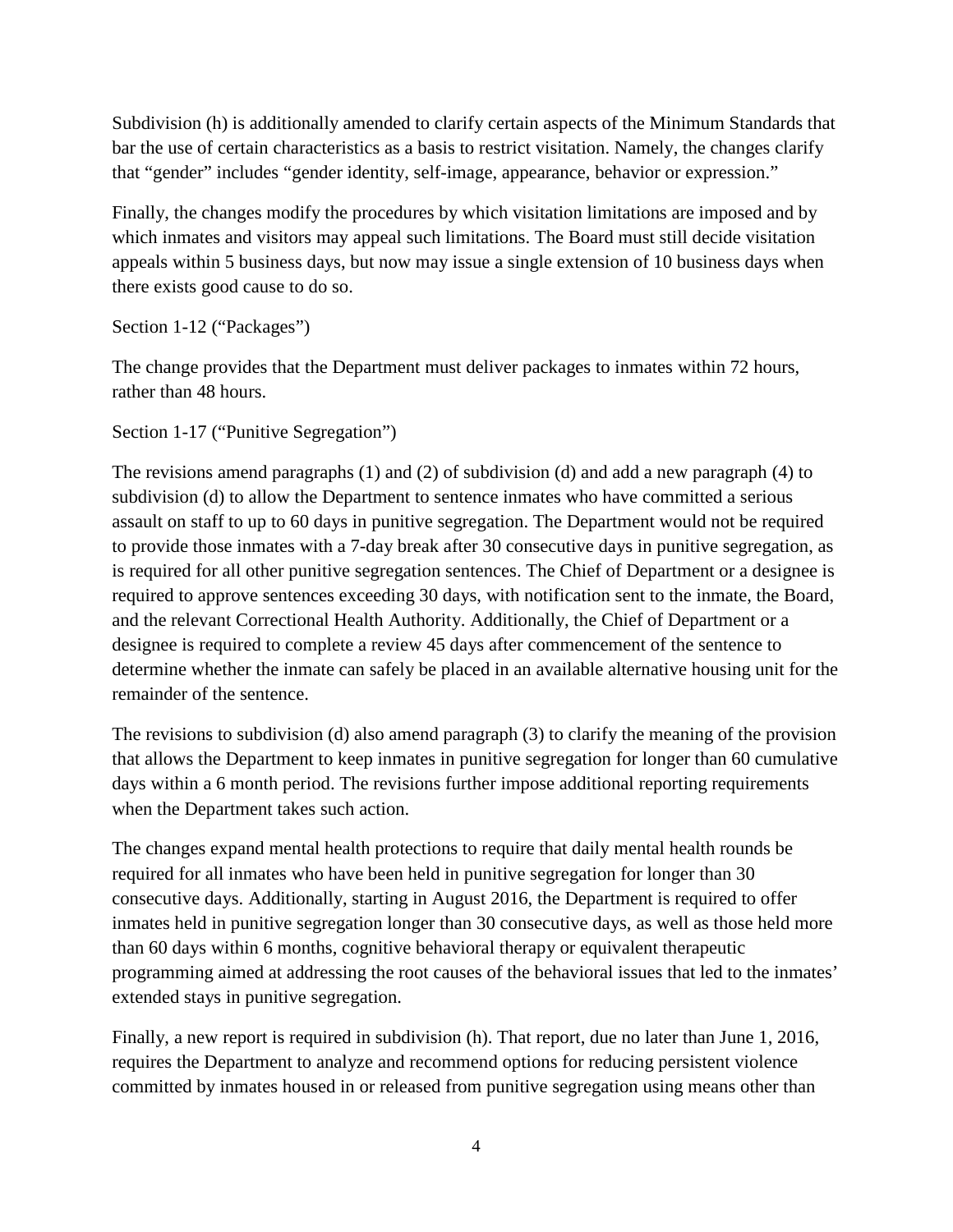Subdivision (h) is additionally amended to clarify certain aspects of the Minimum Standards that bar the use of certain characteristics as a basis to restrict visitation. Namely, the changes clarify that "gender" includes "gender identity, self-image, appearance, behavior or expression."

Finally, the changes modify the procedures by which visitation limitations are imposed and by which inmates and visitors may appeal such limitations. The Board must still decide visitation appeals within 5 business days, but now may issue a single extension of 10 business days when there exists good cause to do so.

Section 1-12 ("Packages")

The change provides that the Department must deliver packages to inmates within 72 hours, rather than 48 hours.

Section 1-17 ("Punitive Segregation")

The revisions amend paragraphs (1) and (2) of subdivision (d) and add a new paragraph (4) to subdivision (d) to allow the Department to sentence inmates who have committed a serious assault on staff to up to 60 days in punitive segregation. The Department would not be required to provide those inmates with a 7-day break after 30 consecutive days in punitive segregation, as is required for all other punitive segregation sentences. The Chief of Department or a designee is required to approve sentences exceeding 30 days, with notification sent to the inmate, the Board, and the relevant Correctional Health Authority. Additionally, the Chief of Department or a designee is required to complete a review 45 days after commencement of the sentence to determine whether the inmate can safely be placed in an available alternative housing unit for the remainder of the sentence.

The revisions to subdivision (d) also amend paragraph (3) to clarify the meaning of the provision that allows the Department to keep inmates in punitive segregation for longer than 60 cumulative days within a 6 month period. The revisions further impose additional reporting requirements when the Department takes such action.

The changes expand mental health protections to require that daily mental health rounds be required for all inmates who have been held in punitive segregation for longer than 30 consecutive days. Additionally, starting in August 2016, the Department is required to offer inmates held in punitive segregation longer than 30 consecutive days, as well as those held more than 60 days within 6 months, cognitive behavioral therapy or equivalent therapeutic programming aimed at addressing the root causes of the behavioral issues that led to the inmates' extended stays in punitive segregation.

Finally, a new report is required in subdivision (h). That report, due no later than June 1, 2016, requires the Department to analyze and recommend options for reducing persistent violence committed by inmates housed in or released from punitive segregation using means other than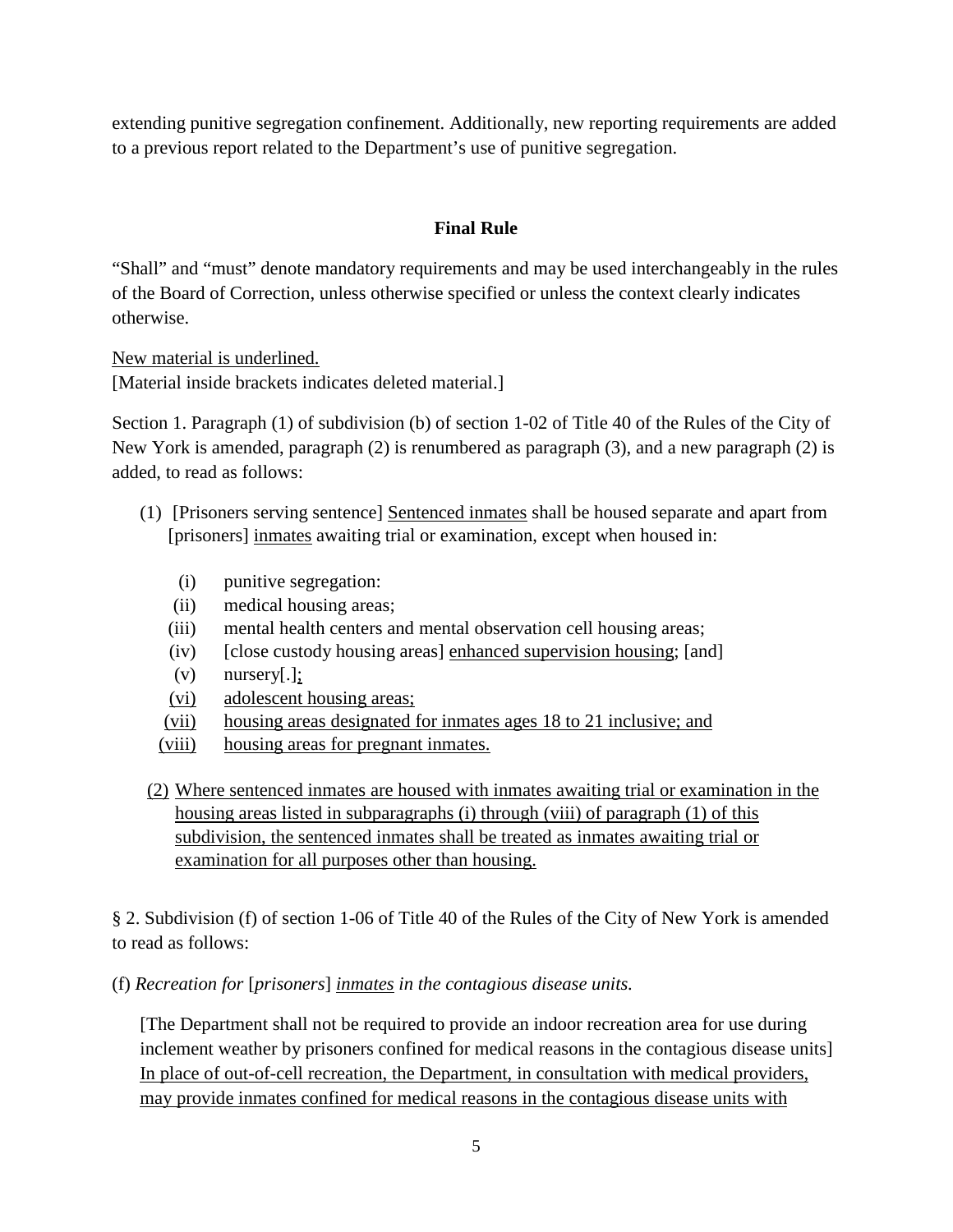extending punitive segregation confinement. Additionally, new reporting requirements are added to a previous report related to the Department's use of punitive segregation.

# **Final Rule**

"Shall" and "must" denote mandatory requirements and may be used interchangeably in the rules of the Board of Correction, unless otherwise specified or unless the context clearly indicates otherwise.

New material is underlined.

[Material inside brackets indicates deleted material.]

Section 1. Paragraph (1) of subdivision (b) of section 1-02 of Title 40 of the Rules of the City of New York is amended, paragraph (2) is renumbered as paragraph (3), and a new paragraph (2) is added, to read as follows:

- (1) [Prisoners serving sentence] Sentenced inmates shall be housed separate and apart from [prisoners] inmates awaiting trial or examination, except when housed in:
	- (i) punitive segregation:
	- (ii) medical housing areas;
	- (iii) mental health centers and mental observation cell housing areas;
	- (iv) [close custody housing areas] enhanced supervision housing; [and]
	- $(v)$  nursery[.];
	- (vi) adolescent housing areas;
	- (vii) housing areas designated for inmates ages 18 to 21 inclusive; and
	- (viii) housing areas for pregnant inmates.
- (2) Where sentenced inmates are housed with inmates awaiting trial or examination in the housing areas listed in subparagraphs (i) through (viii) of paragraph (1) of this subdivision, the sentenced inmates shall be treated as inmates awaiting trial or examination for all purposes other than housing.

§ 2. Subdivision (f) of section 1-06 of Title 40 of the Rules of the City of New York is amended to read as follows:

(f) *Recreation for* [*prisoners*] *inmates in the contagious disease units.*

[The Department shall not be required to provide an indoor recreation area for use during inclement weather by prisoners confined for medical reasons in the contagious disease units] In place of out-of-cell recreation, the Department, in consultation with medical providers, may provide inmates confined for medical reasons in the contagious disease units with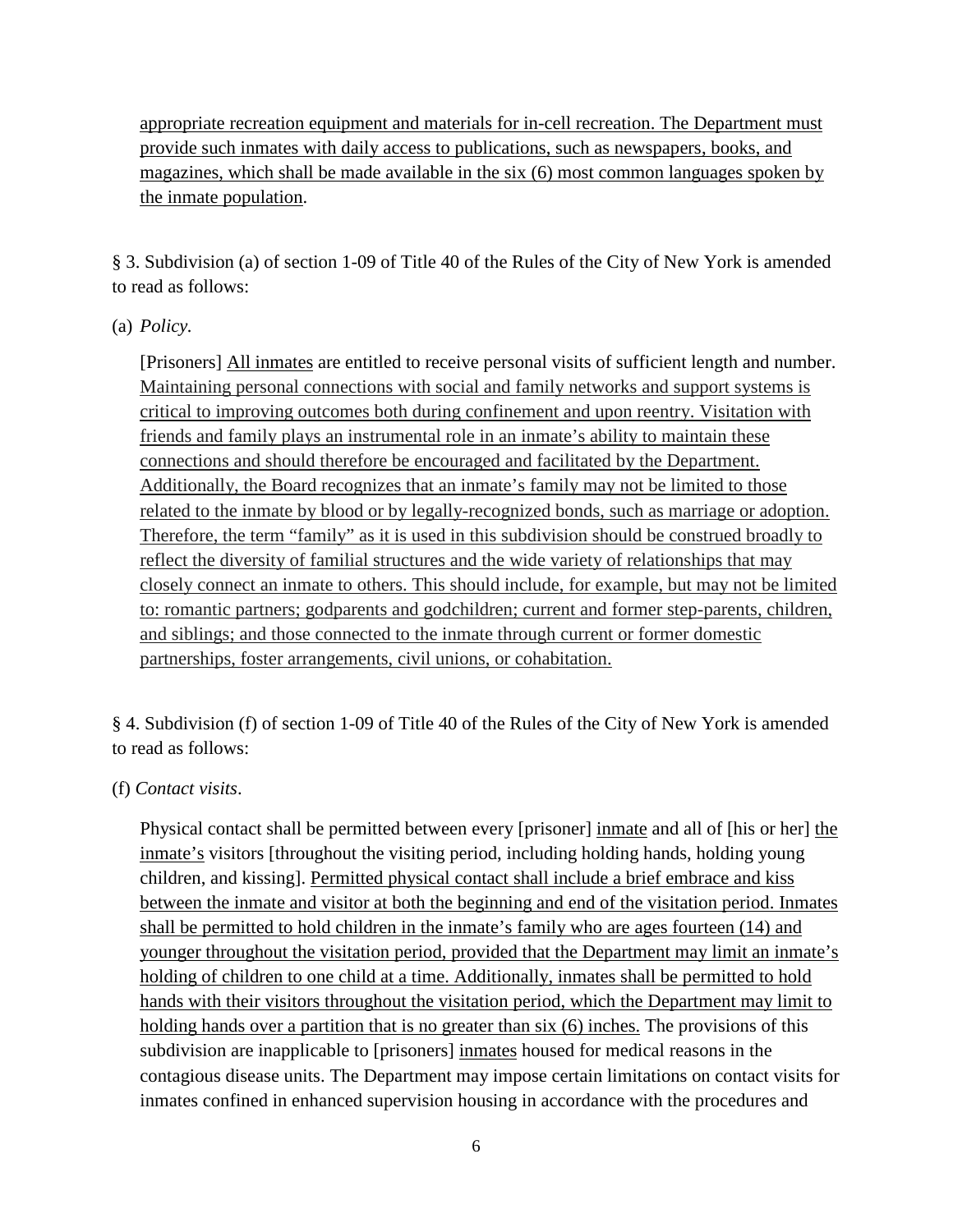appropriate recreation equipment and materials for in-cell recreation. The Department must provide such inmates with daily access to publications, such as newspapers, books, and magazines, which shall be made available in the six (6) most common languages spoken by the inmate population.

§ 3. Subdivision (a) of section 1-09 of Title 40 of the Rules of the City of New York is amended to read as follows:

## (a) *Policy.*

[Prisoners] All inmates are entitled to receive personal visits of sufficient length and number. Maintaining personal connections with social and family networks and support systems is critical to improving outcomes both during confinement and upon reentry. Visitation with friends and family plays an instrumental role in an inmate's ability to maintain these connections and should therefore be encouraged and facilitated by the Department. Additionally, the Board recognizes that an inmate's family may not be limited to those related to the inmate by blood or by legally-recognized bonds, such as marriage or adoption. Therefore, the term "family" as it is used in this subdivision should be construed broadly to reflect the diversity of familial structures and the wide variety of relationships that may closely connect an inmate to others. This should include, for example, but may not be limited to: romantic partners; godparents and godchildren; current and former step-parents, children, and siblings; and those connected to the inmate through current or former domestic partnerships, foster arrangements, civil unions, or cohabitation.

§ 4. Subdivision (f) of section 1-09 of Title 40 of the Rules of the City of New York is amended to read as follows:

#### (f) *Contact visits*.

Physical contact shall be permitted between every [prisoner] inmate and all of [his or her] the inmate's visitors [throughout the visiting period, including holding hands, holding young children, and kissing]. Permitted physical contact shall include a brief embrace and kiss between the inmate and visitor at both the beginning and end of the visitation period. Inmates shall be permitted to hold children in the inmate's family who are ages fourteen (14) and younger throughout the visitation period, provided that the Department may limit an inmate's holding of children to one child at a time. Additionally, inmates shall be permitted to hold hands with their visitors throughout the visitation period, which the Department may limit to holding hands over a partition that is no greater than six (6) inches. The provisions of this subdivision are inapplicable to [prisoners] inmates housed for medical reasons in the contagious disease units. The Department may impose certain limitations on contact visits for inmates confined in enhanced supervision housing in accordance with the procedures and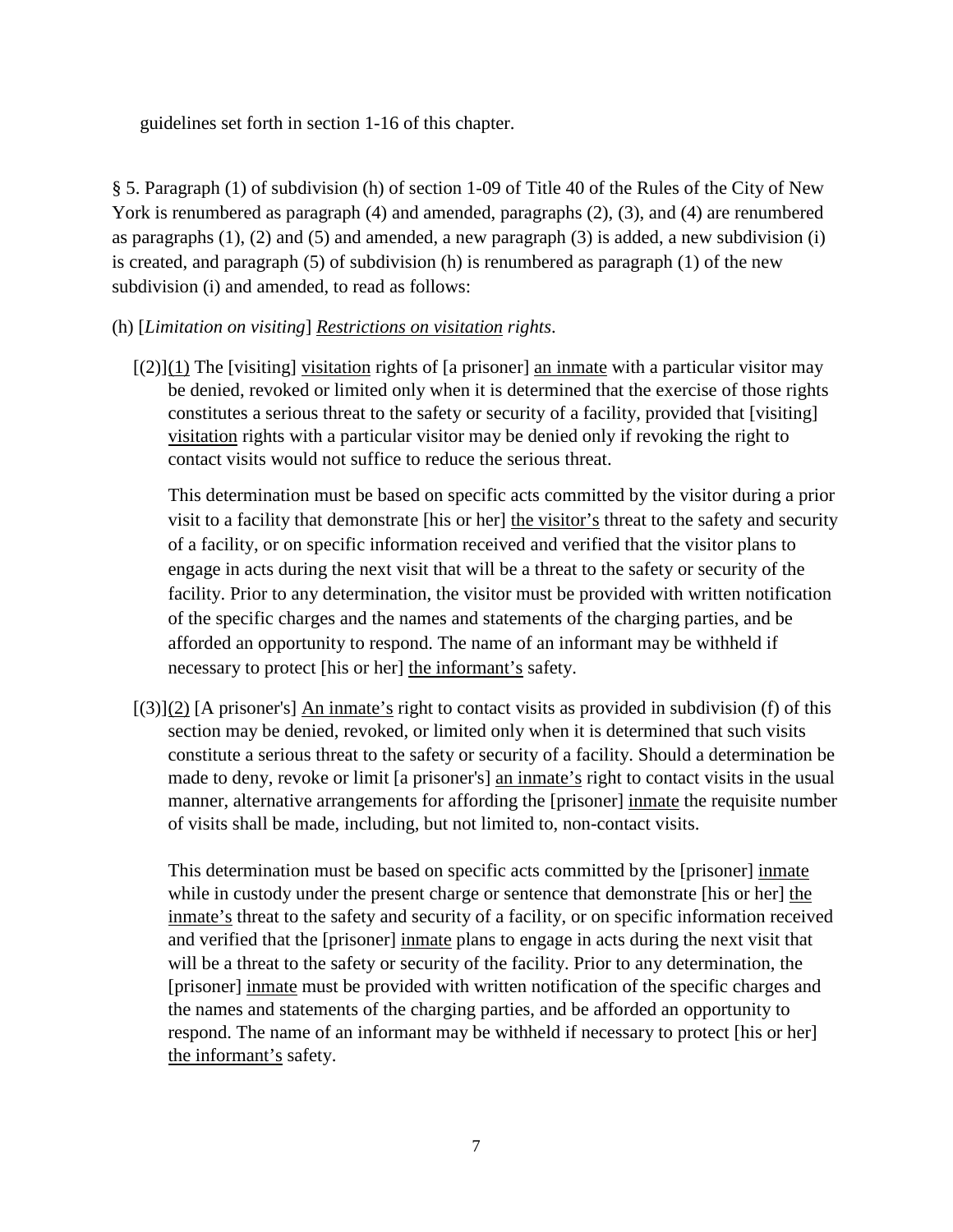guidelines set forth in section 1-16 of this chapter.

§ 5. Paragraph (1) of subdivision (h) of section 1-09 of Title 40 of the Rules of the City of New York is renumbered as paragraph (4) and amended, paragraphs (2), (3), and (4) are renumbered as paragraphs  $(1)$ ,  $(2)$  and  $(5)$  and amended, a new paragraph  $(3)$  is added, a new subdivision  $(i)$ is created, and paragraph (5) of subdivision (h) is renumbered as paragraph (1) of the new subdivision (i) and amended, to read as follows:

- (h) [*Limitation on visiting*] *Restrictions on visitation rights*.
	- $[(2)](1)$  The [visiting] visitation rights of [a prisoner] an inmate with a particular visitor may be denied, revoked or limited only when it is determined that the exercise of those rights constitutes a serious threat to the safety or security of a facility, provided that [visiting] visitation rights with a particular visitor may be denied only if revoking the right to contact visits would not suffice to reduce the serious threat.

This determination must be based on specific acts committed by the visitor during a prior visit to a facility that demonstrate [his or her] the visitor's threat to the safety and security of a facility, or on specific information received and verified that the visitor plans to engage in acts during the next visit that will be a threat to the safety or security of the facility. Prior to any determination, the visitor must be provided with written notification of the specific charges and the names and statements of the charging parties, and be afforded an opportunity to respond. The name of an informant may be withheld if necessary to protect [his or her] the informant's safety.

 $[(3)](2)$  [A prisoner's] An inmate's right to contact visits as provided in subdivision (f) of this section may be denied, revoked, or limited only when it is determined that such visits constitute a serious threat to the safety or security of a facility. Should a determination be made to deny, revoke or limit [a prisoner's] an inmate's right to contact visits in the usual manner, alternative arrangements for affording the [prisoner] inmate the requisite number of visits shall be made, including, but not limited to, non-contact visits.

This determination must be based on specific acts committed by the [prisoner] inmate while in custody under the present charge or sentence that demonstrate [his or her] the inmate's threat to the safety and security of a facility, or on specific information received and verified that the [prisoner] inmate plans to engage in acts during the next visit that will be a threat to the safety or security of the facility. Prior to any determination, the [prisoner] inmate must be provided with written notification of the specific charges and the names and statements of the charging parties, and be afforded an opportunity to respond. The name of an informant may be withheld if necessary to protect [his or her] the informant's safety.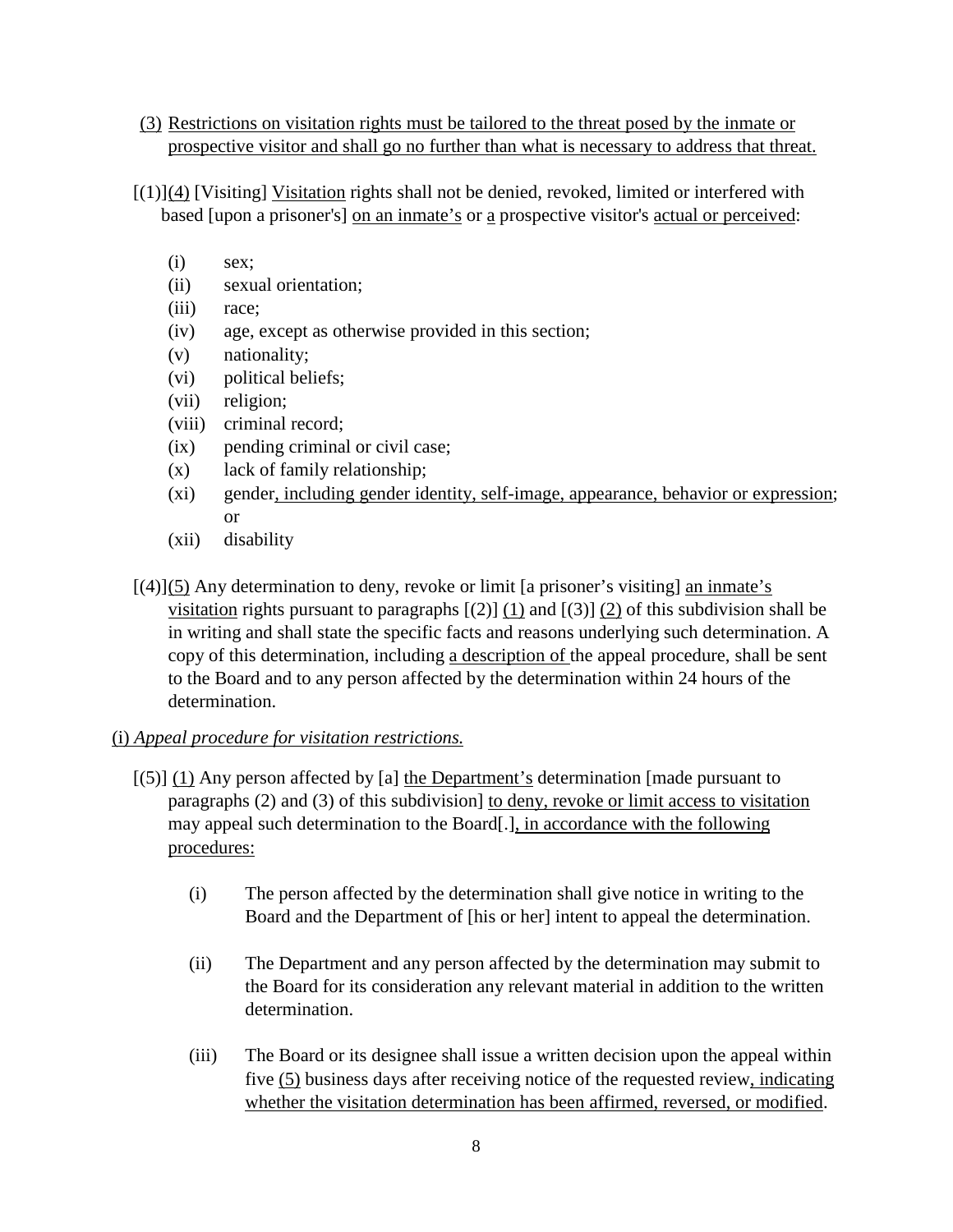- (3) Restrictions on visitation rights must be tailored to the threat posed by the inmate or prospective visitor and shall go no further than what is necessary to address that threat.
- $[(1)](4)$  [Visiting] Visitation rights shall not be denied, revoked, limited or interfered with based [upon a prisoner's] on an inmate's or a prospective visitor's actual or perceived:
	- $(i)$  sex;
	- (ii) sexual orientation;
	- (iii) race;
	- (iv) age, except as otherwise provided in this section;
	- (v) nationality;
	- (vi) political beliefs;
	- (vii) religion;
	- (viii) criminal record;
	- (ix) pending criminal or civil case;
	- (x) lack of family relationship;
	- (xi) gender, including gender identity, self-image, appearance, behavior or expression; or
	- (xii) disability
- $\left[\frac{4}{3}\right]$ (5) Any determination to deny, revoke or limit  $\left[\frac{4}{3}\right]$  ans inmate is visitation rights pursuant to paragraphs  $[(2)]$  (1) and  $[(3)]$  (2) of this subdivision shall be in writing and shall state the specific facts and reasons underlying such determination. A copy of this determination, including a description of the appeal procedure, shall be sent to the Board and to any person affected by the determination within 24 hours of the determination.

#### (i) *Appeal procedure for visitation restrictions.*

- $[(5)] (1)$  Any person affected by [a] the Department's determination [made pursuant to paragraphs (2) and (3) of this subdivision] to deny, revoke or limit access to visitation may appeal such determination to the Board[.], in accordance with the following procedures:
	- (i) The person affected by the determination shall give notice in writing to the Board and the Department of [his or her] intent to appeal the determination.
	- (ii) The Department and any person affected by the determination may submit to the Board for its consideration any relevant material in addition to the written determination.
	- (iii) The Board or its designee shall issue a written decision upon the appeal within five (5) business days after receiving notice of the requested review, indicating whether the visitation determination has been affirmed, reversed, or modified.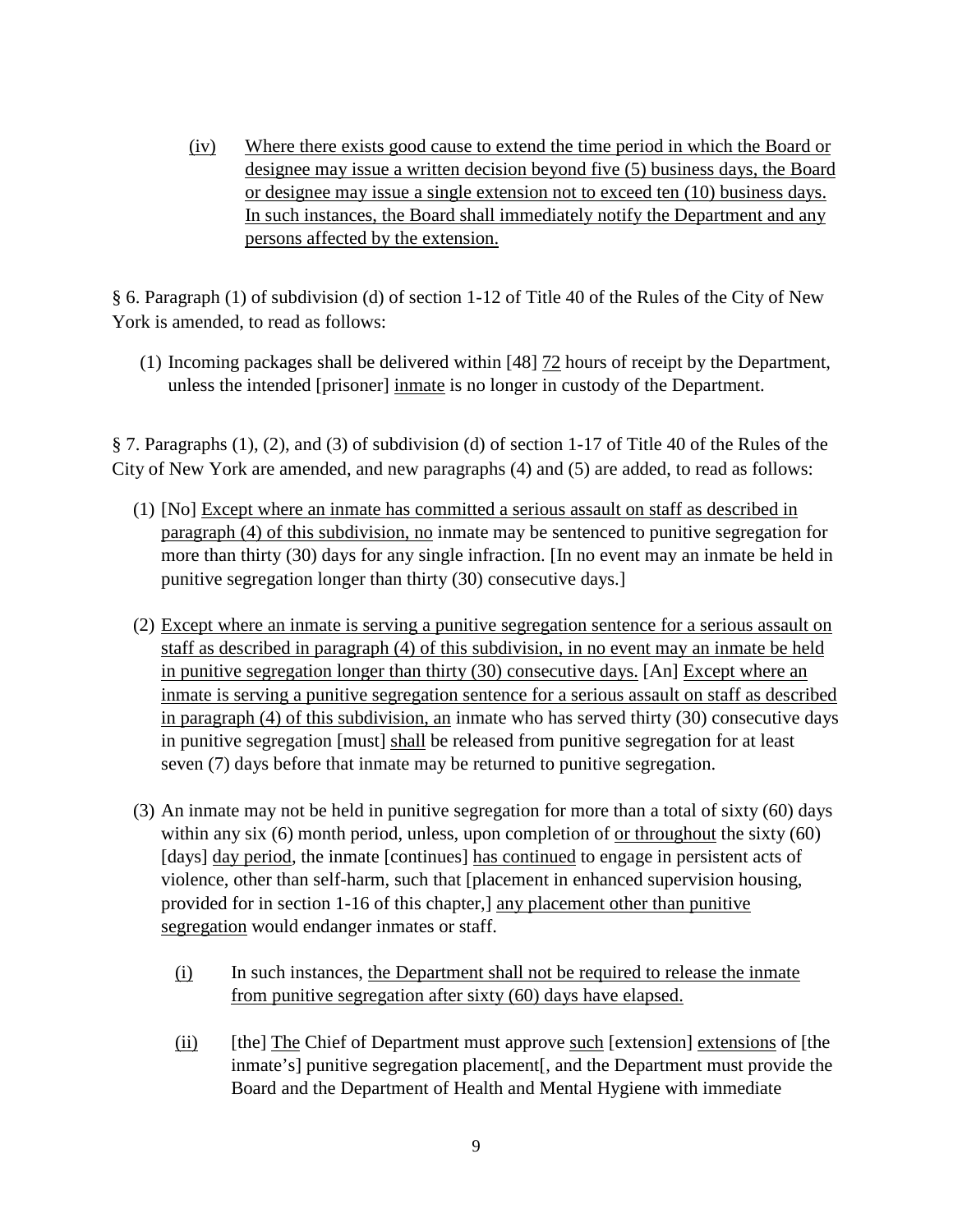(iv) Where there exists good cause to extend the time period in which the Board or designee may issue a written decision beyond five (5) business days, the Board or designee may issue a single extension not to exceed ten (10) business days. In such instances, the Board shall immediately notify the Department and any persons affected by the extension.

§ 6. Paragraph (1) of subdivision (d) of section 1-12 of Title 40 of the Rules of the City of New York is amended, to read as follows:

(1) Incoming packages shall be delivered within [48] 72 hours of receipt by the Department, unless the intended [prisoner] inmate is no longer in custody of the Department.

§ 7. Paragraphs (1), (2), and (3) of subdivision (d) of section 1-17 of Title 40 of the Rules of the City of New York are amended, and new paragraphs (4) and (5) are added, to read as follows:

- (1) [No] Except where an inmate has committed a serious assault on staff as described in paragraph (4) of this subdivision, no inmate may be sentenced to punitive segregation for more than thirty (30) days for any single infraction. [In no event may an inmate be held in punitive segregation longer than thirty (30) consecutive days.]
- (2) Except where an inmate is serving a punitive segregation sentence for a serious assault on staff as described in paragraph (4) of this subdivision, in no event may an inmate be held in punitive segregation longer than thirty (30) consecutive days. [An] Except where an inmate is serving a punitive segregation sentence for a serious assault on staff as described in paragraph (4) of this subdivision, an inmate who has served thirty (30) consecutive days in punitive segregation [must] shall be released from punitive segregation for at least seven (7) days before that inmate may be returned to punitive segregation.
- (3) An inmate may not be held in punitive segregation for more than a total of sixty (60) days within any six (6) month period, unless, upon completion of or throughout the sixty (60) [days] day period, the inmate [continues] has continued to engage in persistent acts of violence, other than self-harm, such that [placement in enhanced supervision housing, provided for in section 1-16 of this chapter,] any placement other than punitive segregation would endanger inmates or staff.
	- (i) In such instances, the Department shall not be required to release the inmate from punitive segregation after sixty (60) days have elapsed.
	- (ii) [the] The Chief of Department must approve such [extension] extensions of [the inmate's] punitive segregation placement[, and the Department must provide the Board and the Department of Health and Mental Hygiene with immediate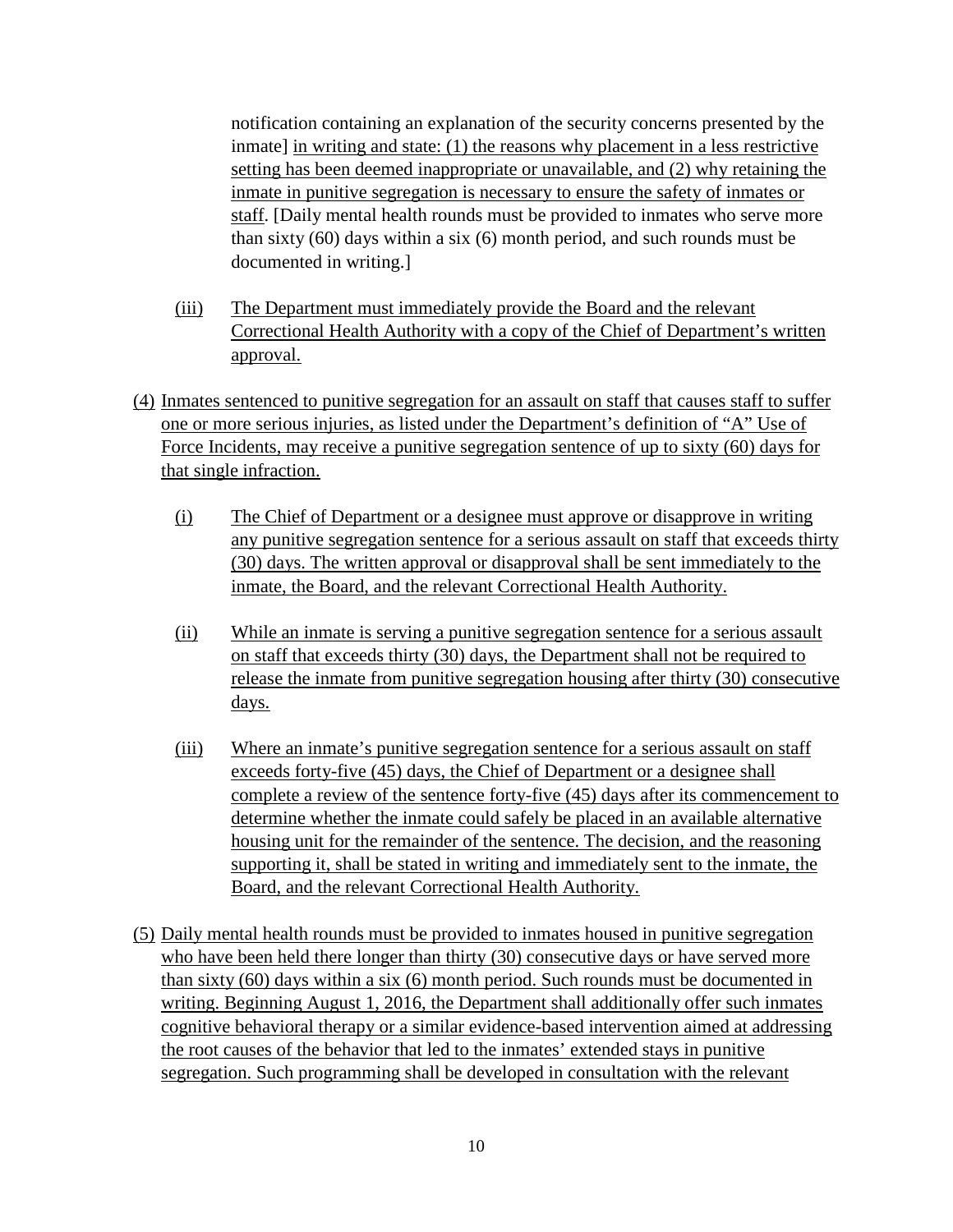notification containing an explanation of the security concerns presented by the inmate] in writing and state: (1) the reasons why placement in a less restrictive setting has been deemed inappropriate or unavailable, and (2) why retaining the inmate in punitive segregation is necessary to ensure the safety of inmates or staff. [Daily mental health rounds must be provided to inmates who serve more than sixty (60) days within a six (6) month period, and such rounds must be documented in writing.]

- (iii) The Department must immediately provide the Board and the relevant Correctional Health Authority with a copy of the Chief of Department's written approval.
- (4) Inmates sentenced to punitive segregation for an assault on staff that causes staff to suffer one or more serious injuries, as listed under the Department's definition of "A" Use of Force Incidents, may receive a punitive segregation sentence of up to sixty (60) days for that single infraction.
	- (i) The Chief of Department or a designee must approve or disapprove in writing any punitive segregation sentence for a serious assault on staff that exceeds thirty (30) days. The written approval or disapproval shall be sent immediately to the inmate, the Board, and the relevant Correctional Health Authority.
	- (ii) While an inmate is serving a punitive segregation sentence for a serious assault on staff that exceeds thirty (30) days, the Department shall not be required to release the inmate from punitive segregation housing after thirty (30) consecutive days.
	- (iii) Where an inmate's punitive segregation sentence for a serious assault on staff exceeds forty-five (45) days, the Chief of Department or a designee shall complete a review of the sentence forty-five (45) days after its commencement to determine whether the inmate could safely be placed in an available alternative housing unit for the remainder of the sentence. The decision, and the reasoning supporting it, shall be stated in writing and immediately sent to the inmate, the Board, and the relevant Correctional Health Authority.
- (5) Daily mental health rounds must be provided to inmates housed in punitive segregation who have been held there longer than thirty (30) consecutive days or have served more than sixty (60) days within a six (6) month period. Such rounds must be documented in writing. Beginning August 1, 2016, the Department shall additionally offer such inmates cognitive behavioral therapy or a similar evidence-based intervention aimed at addressing the root causes of the behavior that led to the inmates' extended stays in punitive segregation. Such programming shall be developed in consultation with the relevant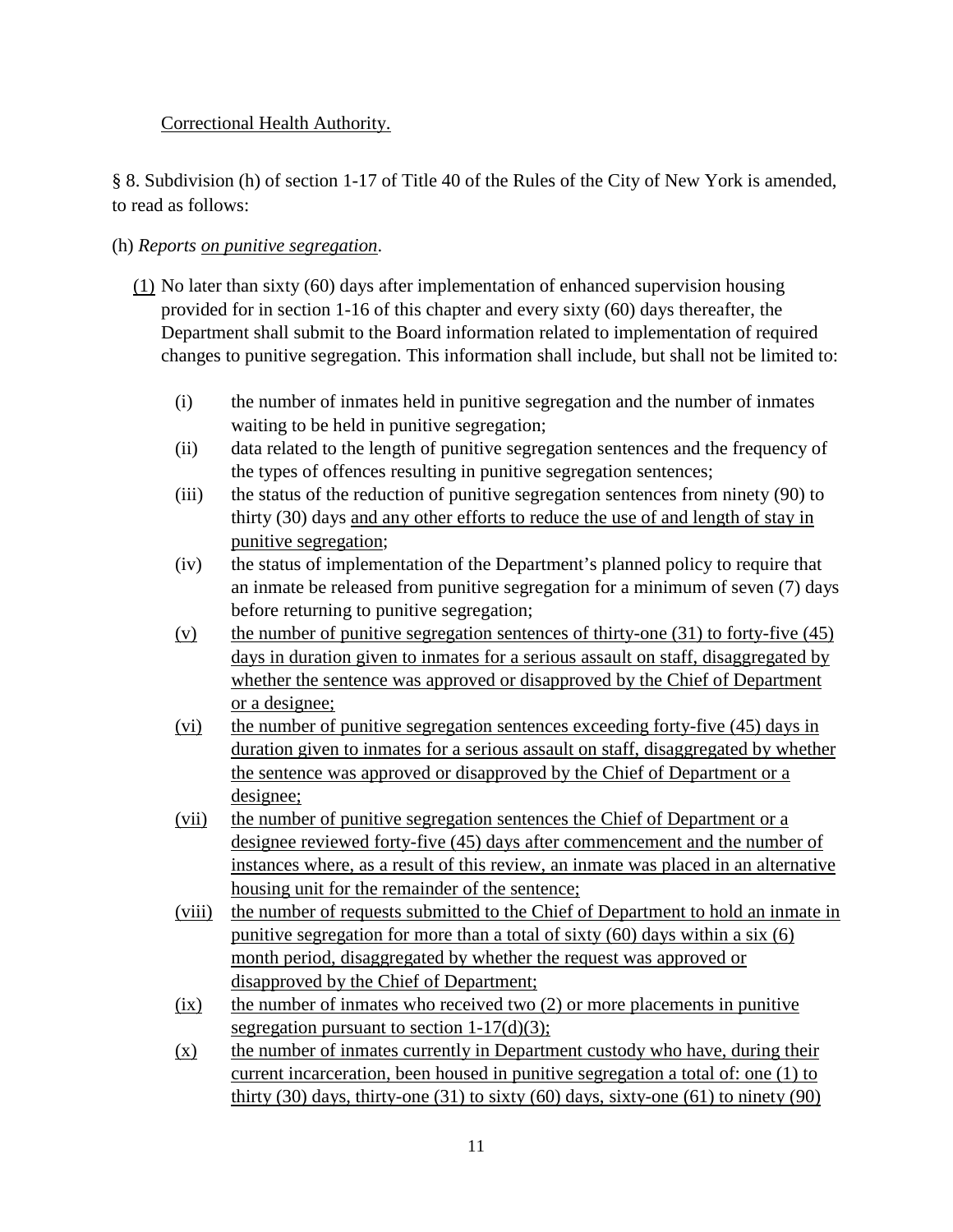# Correctional Health Authority.

§ 8. Subdivision (h) of section 1-17 of Title 40 of the Rules of the City of New York is amended, to read as follows:

# (h) *Reports on punitive segregation*.

- (1) No later than sixty (60) days after implementation of enhanced supervision housing provided for in section 1-16 of this chapter and every sixty (60) days thereafter, the Department shall submit to the Board information related to implementation of required changes to punitive segregation. This information shall include, but shall not be limited to:
	- (i) the number of inmates held in punitive segregation and the number of inmates waiting to be held in punitive segregation;
	- (ii) data related to the length of punitive segregation sentences and the frequency of the types of offences resulting in punitive segregation sentences;
	- (iii) the status of the reduction of punitive segregation sentences from ninety (90) to thirty (30) days and any other efforts to reduce the use of and length of stay in punitive segregation;
	- (iv) the status of implementation of the Department's planned policy to require that an inmate be released from punitive segregation for a minimum of seven (7) days before returning to punitive segregation;
	- (v) the number of punitive segregation sentences of thirty-one  $(31)$  to forty-five  $(45)$ days in duration given to inmates for a serious assault on staff, disaggregated by whether the sentence was approved or disapproved by the Chief of Department or a designee;
	- (vi) the number of punitive segregation sentences exceeding forty-five (45) days in duration given to inmates for a serious assault on staff, disaggregated by whether the sentence was approved or disapproved by the Chief of Department or a designee;
	- (vii) the number of punitive segregation sentences the Chief of Department or a designee reviewed forty-five (45) days after commencement and the number of instances where, as a result of this review, an inmate was placed in an alternative housing unit for the remainder of the sentence;
	- (viii) the number of requests submitted to the Chief of Department to hold an inmate in punitive segregation for more than a total of sixty (60) days within a six (6) month period, disaggregated by whether the request was approved or disapproved by the Chief of Department;
	- $(ix)$  the number of inmates who received two  $(2)$  or more placements in punitive segregation pursuant to section  $1-17(d)(3)$ ;
	- $(x)$  the number of inmates currently in Department custody who have, during their current incarceration, been housed in punitive segregation a total of: one (1) to thirty (30) days, thirty-one (31) to sixty (60) days, sixty-one (61) to ninety (90)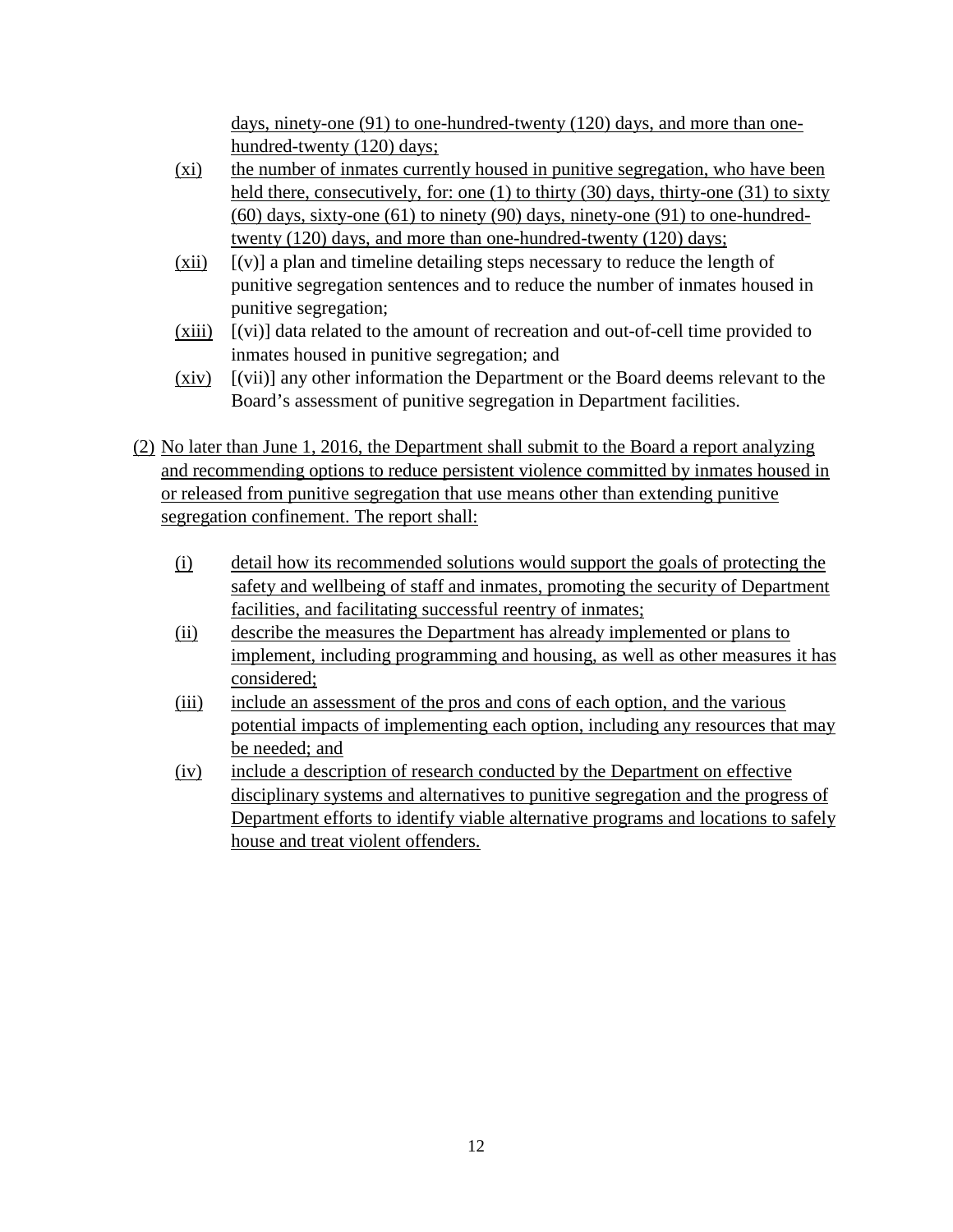days, ninety-one (91) to one-hundred-twenty (120) days, and more than onehundred-twenty (120) days;

- (xi) the number of inmates currently housed in punitive segregation, who have been held there, consecutively, for: one (1) to thirty (30) days, thirty-one (31) to sixty (60) days, sixty-one (61) to ninety (90) days, ninety-one (91) to one-hundredtwenty (120) days, and more than one-hundred-twenty (120) days;
- (xii) [(v)] a plan and timeline detailing steps necessary to reduce the length of punitive segregation sentences and to reduce the number of inmates housed in punitive segregation;
- (xiii) [(vi)] data related to the amount of recreation and out-of-cell time provided to inmates housed in punitive segregation; and
- (xiv) [(vii)] any other information the Department or the Board deems relevant to the Board's assessment of punitive segregation in Department facilities.
- (2) No later than June 1, 2016, the Department shall submit to the Board a report analyzing and recommending options to reduce persistent violence committed by inmates housed in or released from punitive segregation that use means other than extending punitive segregation confinement. The report shall:
	- (i) detail how its recommended solutions would support the goals of protecting the safety and wellbeing of staff and inmates, promoting the security of Department facilities, and facilitating successful reentry of inmates;
	- (ii) describe the measures the Department has already implemented or plans to implement, including programming and housing, as well as other measures it has considered;
	- (iii) include an assessment of the pros and cons of each option, and the various potential impacts of implementing each option, including any resources that may be needed; and
	- (iv) include a description of research conducted by the Department on effective disciplinary systems and alternatives to punitive segregation and the progress of Department efforts to identify viable alternative programs and locations to safely house and treat violent offenders.